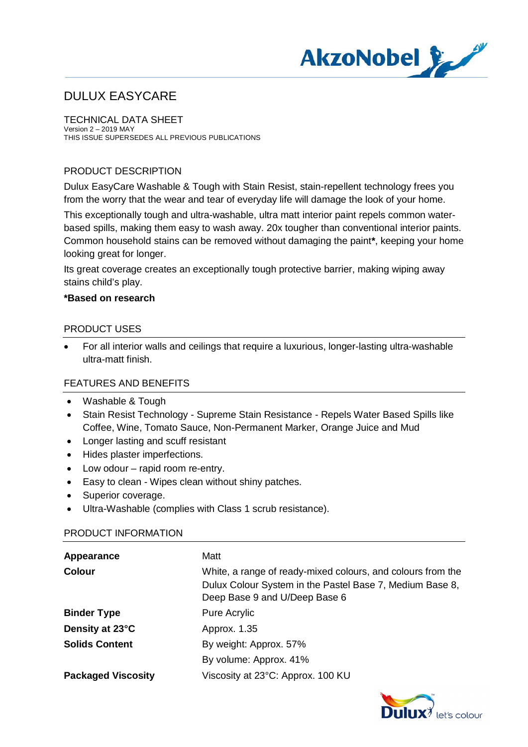

TECHNICAL DATA SHEET Version 2 – 2019 MAY THIS ISSUE SUPERSEDES ALL PREVIOUS PUBLICATIONS

#### PRODUCT DESCRIPTION

Dulux EasyCare Washable & Tough with Stain Resist, stain-repellent technology frees you from the worry that the wear and tear of everyday life will damage the look of your home.

This exceptionally tough and ultra-washable, ultra matt interior paint repels common waterbased spills, making them easy to wash away. 20x tougher than conventional interior paints. Common household stains can be removed without damaging the paint**\***, keeping your home looking great for longer.

Its great coverage creates an exceptionally tough protective barrier, making wiping away stains child's play.

#### **\*Based on research**

#### PRODUCT USES

· For all interior walls and ceilings that require a luxurious, longer-lasting ultra-washable ultra-matt finish.

#### FEATURES AND BENEFITS

- · Washable & Tough
- · Stain Resist Technology Supreme Stain Resistance Repels Water Based Spills like Coffee, Wine, Tomato Sauce, Non-Permanent Marker, Orange Juice and Mud
- · Longer lasting and scuff resistant
- · Hides plaster imperfections.
- Low odour rapid room re-entry.
- · Easy to clean Wipes clean without shiny patches.
- Superior coverage.
- · Ultra-Washable (complies with Class 1 scrub resistance).

#### PRODUCT INFORMATION

| Appearance                | Matt                                                                                                                                                     |
|---------------------------|----------------------------------------------------------------------------------------------------------------------------------------------------------|
| <b>Colour</b>             | White, a range of ready-mixed colours, and colours from the<br>Dulux Colour System in the Pastel Base 7, Medium Base 8,<br>Deep Base 9 and U/Deep Base 6 |
| <b>Binder Type</b>        | Pure Acrylic                                                                                                                                             |
| Density at 23°C           | Approx. 1.35                                                                                                                                             |
| <b>Solids Content</b>     | By weight: Approx. 57%                                                                                                                                   |
|                           | By volume: Approx. 41%                                                                                                                                   |
| <b>Packaged Viscosity</b> | Viscosity at 23°C: Approx. 100 KU                                                                                                                        |

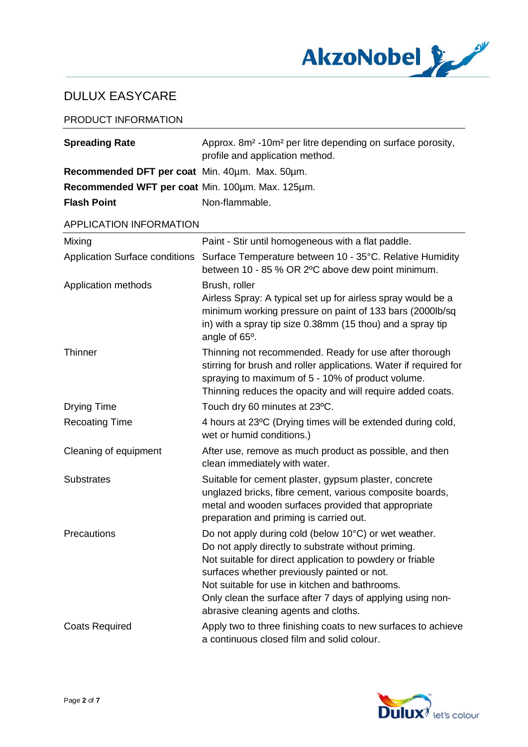

#### PRODUCT INFORMATION

| <b>Spreading Rate</b>                            | Approx. 8m <sup>2</sup> -10m <sup>2</sup> per litre depending on surface porosity,<br>profile and application method.                                                                                                                                                                                                                                                            |
|--------------------------------------------------|----------------------------------------------------------------------------------------------------------------------------------------------------------------------------------------------------------------------------------------------------------------------------------------------------------------------------------------------------------------------------------|
| Recommended DFT per coat Min. 40um. Max. 50um.   |                                                                                                                                                                                                                                                                                                                                                                                  |
| Recommended WFT per coat Min. 100um. Max. 125um. |                                                                                                                                                                                                                                                                                                                                                                                  |
| <b>Flash Point</b>                               | Non-flammable.                                                                                                                                                                                                                                                                                                                                                                   |
| APPLICATION INFORMATION                          |                                                                                                                                                                                                                                                                                                                                                                                  |
| Mixing                                           | Paint - Stir until homogeneous with a flat paddle.                                                                                                                                                                                                                                                                                                                               |
| <b>Application Surface conditions</b>            | Surface Temperature between 10 - 35°C. Relative Humidity<br>between 10 - 85 % OR 2°C above dew point minimum.                                                                                                                                                                                                                                                                    |
| Application methods                              | Brush, roller<br>Airless Spray: A typical set up for airless spray would be a<br>minimum working pressure on paint of 133 bars (2000lb/sq<br>in) with a spray tip size 0.38mm (15 thou) and a spray tip<br>angle of 65°.                                                                                                                                                         |
| Thinner                                          | Thinning not recommended. Ready for use after thorough<br>stirring for brush and roller applications. Water if required for<br>spraying to maximum of 5 - 10% of product volume.<br>Thinning reduces the opacity and will require added coats.                                                                                                                                   |
| <b>Drying Time</b>                               | Touch dry 60 minutes at 23°C.                                                                                                                                                                                                                                                                                                                                                    |
| <b>Recoating Time</b>                            | 4 hours at 23°C (Drying times will be extended during cold,<br>wet or humid conditions.)                                                                                                                                                                                                                                                                                         |
| Cleaning of equipment                            | After use, remove as much product as possible, and then<br>clean immediately with water.                                                                                                                                                                                                                                                                                         |
| <b>Substrates</b>                                | Suitable for cement plaster, gypsum plaster, concrete<br>unglazed bricks, fibre cement, various composite boards,<br>metal and wooden surfaces provided that appropriate<br>preparation and priming is carried out.                                                                                                                                                              |
| Precautions                                      | Do not apply during cold (below 10°C) or wet weather.<br>Do not apply directly to substrate without priming.<br>Not suitable for direct application to powdery or friable<br>surfaces whether previously painted or not.<br>Not suitable for use in kitchen and bathrooms.<br>Only clean the surface after 7 days of applying using non-<br>abrasive cleaning agents and cloths. |
| <b>Coats Required</b>                            | Apply two to three finishing coats to new surfaces to achieve<br>a continuous closed film and solid colour.                                                                                                                                                                                                                                                                      |

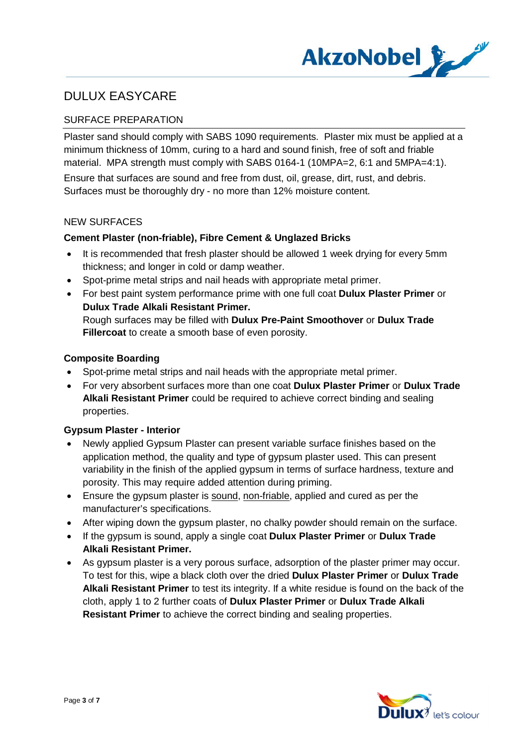

## SURFACE PREPARATION

Plaster sand should comply with SABS 1090 requirements. Plaster mix must be applied at a minimum thickness of 10mm, curing to a hard and sound finish, free of soft and friable material. MPA strength must comply with SABS 0164-1 (10MPA=2, 6:1 and 5MPA=4:1).

Ensure that surfaces are sound and free from dust, oil, grease, dirt, rust, and debris. Surfaces must be thoroughly dry - no more than 12% moisture content.

#### NEW SURFACES

#### **Cement Plaster (non-friable), Fibre Cement & Unglazed Bricks**

- It is recommended that fresh plaster should be allowed 1 week drying for every 5mm thickness; and longer in cold or damp weather.
- Spot-prime metal strips and nail heads with appropriate metal primer.
- · For best paint system performance prime with one full coat **Dulux Plaster Primer** or **Dulux Trade Alkali Resistant Primer.** Rough surfaces may be filled with **Dulux Pre-Paint Smoothover** or **Dulux Trade Fillercoat** to create a smooth base of even porosity.

#### **Composite Boarding**

- Spot-prime metal strips and nail heads with the appropriate metal primer.
- · For very absorbent surfaces more than one coat **Dulux Plaster Primer** or **Dulux Trade Alkali Resistant Primer** could be required to achieve correct binding and sealing properties.

#### **Gypsum Plaster - Interior**

- · Newly applied Gypsum Plaster can present variable surface finishes based on the application method, the quality and type of gypsum plaster used. This can present variability in the finish of the applied gypsum in terms of surface hardness, texture and porosity. This may require added attention during priming.
- · Ensure the gypsum plaster is sound, non-friable, applied and cured as per the manufacturer's specifications.
- · After wiping down the gypsum plaster, no chalky powder should remain on the surface.
- · If the gypsum is sound, apply a single coat **Dulux Plaster Primer** or **Dulux Trade Alkali Resistant Primer.**
- · As gypsum plaster is a very porous surface, adsorption of the plaster primer may occur. To test for this, wipe a black cloth over the dried **Dulux Plaster Primer** or **Dulux Trade Alkali Resistant Primer** to test its integrity. If a white residue is found on the back of the cloth, apply 1 to 2 further coats of **Dulux Plaster Primer** or **Dulux Trade Alkali Resistant Primer** to achieve the correct binding and sealing properties.

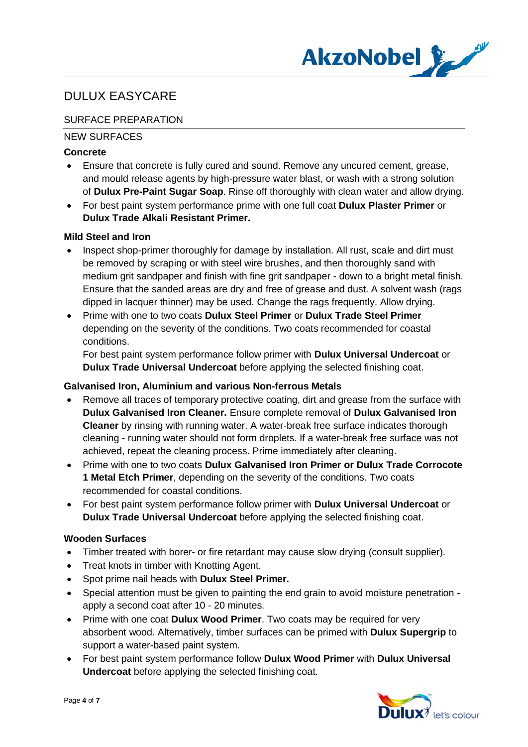

## SURFACE PREPARATION

## NEW SURFACES

### **Concrete**

- Ensure that concrete is fully cured and sound. Remove any uncured cement, grease, and mould release agents by high-pressure water blast, or wash with a strong solution of **Dulux Pre-Paint Sugar Soap**. Rinse off thoroughly with clean water and allow drying.
- · For best paint system performance prime with one full coat **Dulux Plaster Primer** or **Dulux Trade Alkali Resistant Primer.**

#### **Mild Steel and Iron**

- · Inspect shop-primer thoroughly for damage by installation. All rust, scale and dirt must be removed by scraping or with steel wire brushes, and then thoroughly sand with medium grit sandpaper and finish with fine grit sandpaper - down to a bright metal finish. Ensure that the sanded areas are dry and free of grease and dust. A solvent wash (rags dipped in lacquer thinner) may be used. Change the rags frequently. Allow drying.
- · Prime with one to two coats **Dulux Steel Primer** or **Dulux Trade Steel Primer** depending on the severity of the conditions. Two coats recommended for coastal conditions.

For best paint system performance follow primer with **Dulux Universal Undercoat** or **Dulux Trade Universal Undercoat** before applying the selected finishing coat.

#### **Galvanised Iron, Aluminium and various Non-ferrous Metals**

- · Remove all traces of temporary protective coating, dirt and grease from the surface with **Dulux Galvanised Iron Cleaner.** Ensure complete removal of **Dulux Galvanised Iron Cleaner** by rinsing with running water. A water-break free surface indicates thorough cleaning - running water should not form droplets. If a water-break free surface was not achieved, repeat the cleaning process. Prime immediately after cleaning.
- · Prime with one to two coats **Dulux Galvanised Iron Primer or Dulux Trade Corrocote 1 Metal Etch Primer**, depending on the severity of the conditions. Two coats recommended for coastal conditions.
- · For best paint system performance follow primer with **Dulux Universal Undercoat** or **Dulux Trade Universal Undercoat** before applying the selected finishing coat.

#### **Wooden Surfaces**

- · Timber treated with borer- or fire retardant may cause slow drying (consult supplier).
- · Treat knots in timber with Knotting Agent.
- · Spot prime nail heads with **Dulux Steel Primer.**
- · Special attention must be given to painting the end grain to avoid moisture penetration apply a second coat after 10 - 20 minutes.
- · Prime with one coat **Dulux Wood Primer**. Two coats may be required for very absorbent wood. Alternatively, timber surfaces can be primed with **Dulux Supergrip** to support a water-based paint system.
- · For best paint system performance follow **Dulux Wood Primer** with **Dulux Universal Undercoat** before applying the selected finishing coat.

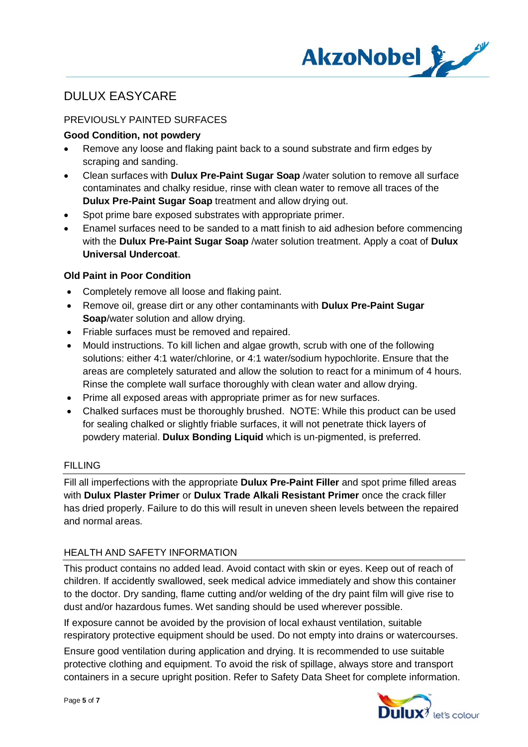

## PREVIOUSLY PAINTED SURFACES

### **Good Condition, not powdery**

- Remove any loose and flaking paint back to a sound substrate and firm edges by scraping and sanding.
- · Clean surfaces with **Dulux Pre-Paint Sugar Soap** /water solution to remove all surface contaminates and chalky residue, rinse with clean water to remove all traces of the **Dulux Pre-Paint Sugar Soap** treatment and allow drying out.
- Spot prime bare exposed substrates with appropriate primer.
- Enamel surfaces need to be sanded to a matt finish to aid adhesion before commencing with the **Dulux Pre-Paint Sugar Soap** /water solution treatment. Apply a coat of **Dulux Universal Undercoat**.

## **Old Paint in Poor Condition**

- · Completely remove all loose and flaking paint.
- · Remove oil, grease dirt or any other contaminants with **Dulux Pre-Paint Sugar Soap**/water solution and allow drying.
- · Friable surfaces must be removed and repaired.
- · Mould instructions. To kill lichen and algae growth, scrub with one of the following solutions: either 4:1 water/chlorine, or 4:1 water/sodium hypochlorite. Ensure that the areas are completely saturated and allow the solution to react for a minimum of 4 hours. Rinse the complete wall surface thoroughly with clean water and allow drying.
- · Prime all exposed areas with appropriate primer as for new surfaces.
- · Chalked surfaces must be thoroughly brushed. NOTE: While this product can be used for sealing chalked or slightly friable surfaces, it will not penetrate thick layers of powdery material. **Dulux Bonding Liquid** which is un-pigmented, is preferred.

## FILLING

Fill all imperfections with the appropriate **Dulux Pre-Paint Filler** and spot prime filled areas with **Dulux Plaster Primer** or **Dulux Trade Alkali Resistant Primer** once the crack filler has dried properly. Failure to do this will result in uneven sheen levels between the repaired and normal areas.

## HEALTH AND SAFETY INFORMATION

This product contains no added lead. Avoid contact with skin or eyes. Keep out of reach of children. If accidently swallowed, seek medical advice immediately and show this container to the doctor. Dry sanding, flame cutting and/or welding of the dry paint film will give rise to dust and/or hazardous fumes. Wet sanding should be used wherever possible.

If exposure cannot be avoided by the provision of local exhaust ventilation, suitable respiratory protective equipment should be used. Do not empty into drains or watercourses.

Ensure good ventilation during application and drying. It is recommended to use suitable protective clothing and equipment. To avoid the risk of spillage, always store and transport containers in a secure upright position. Refer to Safety Data Sheet for complete information.

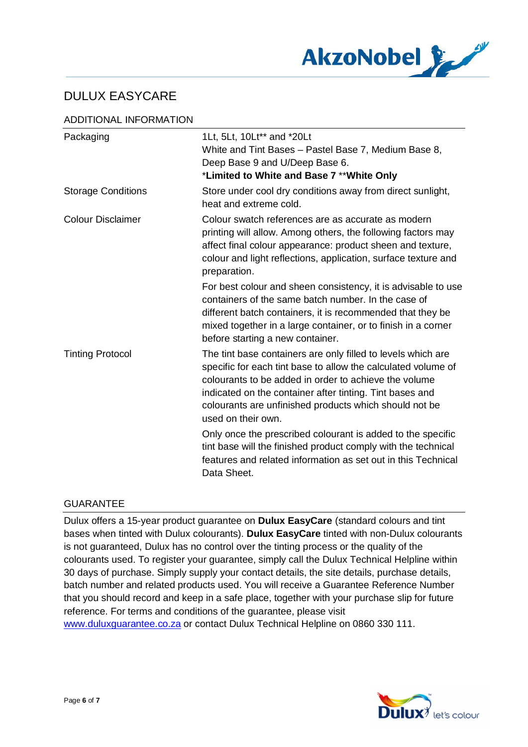

### ADDITIONAL INFORMATION

| Packaging                 | 1Lt, 5Lt, 10Lt** and *20Lt<br>White and Tint Bases - Pastel Base 7, Medium Base 8,<br>Deep Base 9 and U/Deep Base 6.<br>*Limited to White and Base 7 ** White Only                                                                                                                                                                 |
|---------------------------|------------------------------------------------------------------------------------------------------------------------------------------------------------------------------------------------------------------------------------------------------------------------------------------------------------------------------------|
| <b>Storage Conditions</b> | Store under cool dry conditions away from direct sunlight,<br>heat and extreme cold.                                                                                                                                                                                                                                               |
| <b>Colour Disclaimer</b>  | Colour swatch references are as accurate as modern<br>printing will allow. Among others, the following factors may<br>affect final colour appearance: product sheen and texture,<br>colour and light reflections, application, surface texture and<br>preparation.                                                                 |
|                           | For best colour and sheen consistency, it is advisable to use<br>containers of the same batch number. In the case of<br>different batch containers, it is recommended that they be<br>mixed together in a large container, or to finish in a corner<br>before starting a new container.                                            |
| <b>Tinting Protocol</b>   | The tint base containers are only filled to levels which are<br>specific for each tint base to allow the calculated volume of<br>colourants to be added in order to achieve the volume<br>indicated on the container after tinting. Tint bases and<br>colourants are unfinished products which should not be<br>used on their own. |
|                           | Only once the prescribed colourant is added to the specific<br>tint base will the finished product comply with the technical<br>features and related information as set out in this Technical<br>Data Sheet.                                                                                                                       |

#### GUARANTEE

Dulux offers a 15-year product guarantee on **Dulux EasyCare** (standard colours and tint bases when tinted with Dulux colourants). **Dulux EasyCare** tinted with non-Dulux colourants is not guaranteed, Dulux has no control over the tinting process or the quality of the colourants used. To register your guarantee, simply call the Dulux Technical Helpline within 30 days of purchase. Simply supply your contact details, the site details, purchase details, batch number and related products used. You will receive a Guarantee Reference Number that you should record and keep in a safe place, together with your purchase slip for future reference. For terms and conditions of the guarantee, please visit www.duluxguarantee.co.za or contact Dulux Technical Helpline on 0860 330 111.